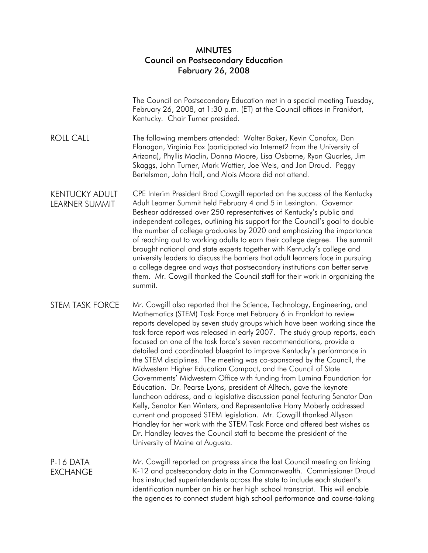## MINUTES Council on Postsecondary Education February 26, 2008

|                                         | The Council on Postsecondary Education met in a special meeting Tuesday,<br>February 26, 2008, at 1:30 p.m. (ET) at the Council offices in Frankfort,<br>Kentucky. Chair Turner presided.                                                                                                                                                                                                                                                                                                                                                                                                                                                                                                                                                                                                                                                                                                                                                                                                                                                                                                                                                                                     |
|-----------------------------------------|-------------------------------------------------------------------------------------------------------------------------------------------------------------------------------------------------------------------------------------------------------------------------------------------------------------------------------------------------------------------------------------------------------------------------------------------------------------------------------------------------------------------------------------------------------------------------------------------------------------------------------------------------------------------------------------------------------------------------------------------------------------------------------------------------------------------------------------------------------------------------------------------------------------------------------------------------------------------------------------------------------------------------------------------------------------------------------------------------------------------------------------------------------------------------------|
| <b>ROLL CALL</b>                        | The following members attended: Walter Baker, Kevin Canafax, Dan<br>Flanagan, Virginia Fox (participated via Internet2 from the University of<br>Arizona), Phyllis Maclin, Donna Moore, Lisa Osborne, Ryan Quarles, Jim<br>Skaggs, John Turner, Mark Wattier, Joe Weis, and Jon Draud. Peggy<br>Bertelsman, John Hall, and Alois Moore did not attend.                                                                                                                                                                                                                                                                                                                                                                                                                                                                                                                                                                                                                                                                                                                                                                                                                        |
| <b>KENTUCKY ADULT</b><br>LEARNER SUMMIT | CPE Interim President Brad Cowgill reported on the success of the Kentucky<br>Adult Learner Summit held February 4 and 5 in Lexington. Governor<br>Beshear addressed over 250 representatives of Kentucky's public and<br>independent colleges, outlining his support for the Council's goal to double<br>the number of college graduates by 2020 and emphasizing the importance<br>of reaching out to working adults to earn their college degree. The summit<br>brought national and state experts together with Kentucky's college and<br>university leaders to discuss the barriers that adult learners face in pursuing<br>a college degree and ways that postsecondary institutions can better serve<br>them. Mr. Cowgill thanked the Council staff for their work in organizing the<br>summit.                                                                                                                                                                                                                                                                                                                                                                         |
| <b>STEM TASK FORCE</b>                  | Mr. Cowgill also reported that the Science, Technology, Engineering, and<br>Mathematics (STEM) Task Force met February 6 in Frankfort to review<br>reports developed by seven study groups which have been working since the<br>task force report was released in early 2007. The study group reports, each<br>focused on one of the task force's seven recommendations, provide a<br>detailed and coordinated blueprint to improve Kentucky's performance in<br>the STEM disciplines. The meeting was co-sponsored by the Council, the<br>Midwestern Higher Education Compact, and the Council of State<br>Governments' Midwestern Office with funding from Lumina Foundation for<br>Education. Dr. Pearse Lyons, president of Alltech, gave the keynote<br>luncheon address, and a legislative discussion panel featuring Senator Dan<br>Kelly, Senator Ken Winters, and Representative Harry Moberly addressed<br>current and proposed STEM legislation. Mr. Cowgill thanked Allyson<br>Handley for her work with the STEM Task Force and offered best wishes as<br>Dr. Handley leaves the Council staff to become the president of the<br>University of Maine at Augusta. |
| P-16 DATA<br><b>EXCHANGE</b>            | Mr. Cowgill reported on progress since the last Council meeting on linking<br>K-12 and postsecondary data in the Commonwealth. Commissioner Draud<br>has instructed superintendents across the state to include each student's<br>identification number on his or her high school transcript. This will enable<br>the agencies to connect student high school performance and course-taking                                                                                                                                                                                                                                                                                                                                                                                                                                                                                                                                                                                                                                                                                                                                                                                   |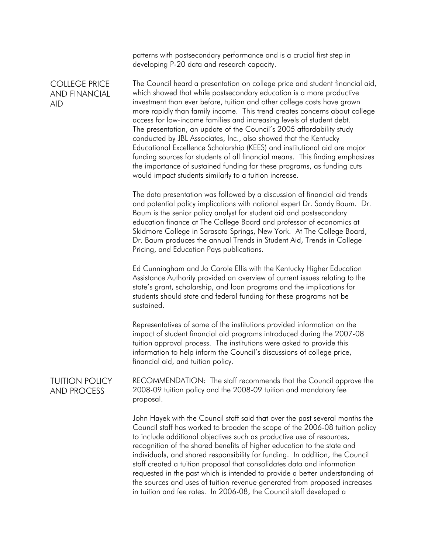patterns with postsecondary performance and is a crucial first step in developing P-20 data and research capacity.

COLLEGE PRICE AND FINANCIAL AID

The Council heard a presentation on college price and student financial aid, which showed that while postsecondary education is a more productive investment than ever before, tuition and other college costs have grown more rapidly than family income. This trend creates concerns about college access for low-income families and increasing levels of student debt. The presentation, an update of the Council's 2005 affordability study conducted by JBL Associates, Inc., also showed that the Kentucky Educational Excellence Scholarship (KEES) and institutional aid are major funding sources for students of all financial means. This finding emphasizes the importance of sustained funding for these programs, as funding cuts would impact students similarly to a tuition increase.

The data presentation was followed by a discussion of financial aid trends and potential policy implications with national expert Dr. Sandy Baum. Dr. Baum is the senior policy analyst for student aid and postsecondary education finance at The College Board and professor of economics at Skidmore College in Sarasota Springs, New York. At The College Board, Dr. Baum produces the annual Trends in Student Aid, Trends in College Pricing, and Education Pays publications.

Ed Cunningham and Jo Carole Ellis with the Kentucky Higher Education Assistance Authority provided an overview of current issues relating to the state's grant, scholarship, and loan programs and the implications for students should state and federal funding for these programs not be sustained.

Representatives of some of the institutions provided information on the impact of student financial aid programs introduced during the 2007-08 tuition approval process. The institutions were asked to provide this information to help inform the Council's discussions of college price, financial aid, and tuition policy.

TUITION POLICY AND PROCESS

RECOMMENDATION: The staff recommends that the Council approve the 2008-09 tuition policy and the 2008-09 tuition and mandatory fee proposal.

John Hayek with the Council staff said that over the past several months the Council staff has worked to broaden the scope of the 2006-08 tuition policy to include additional objectives such as productive use of resources, recognition of the shared benefits of higher education to the state and individuals, and shared responsibility for funding. In addition, the Council staff created a tuition proposal that consolidates data and information requested in the past which is intended to provide a better understanding of the sources and uses of tuition revenue generated from proposed increases in tuition and fee rates. In 2006-08, the Council staff developed a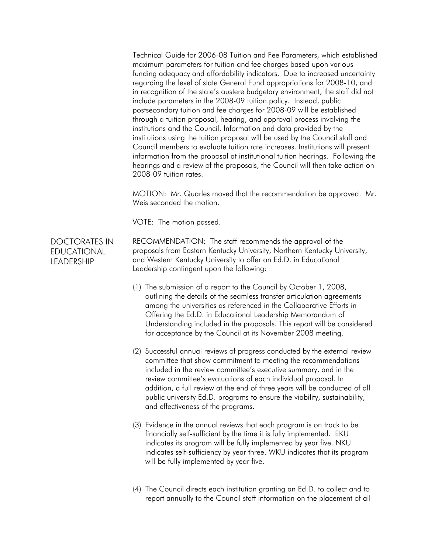Technical Guide for 2006-08 Tuition and Fee Parameters, which established maximum parameters for tuition and fee charges based upon various funding adequacy and affordability indicators. Due to increased uncertainty regarding the level of state General Fund appropriations for 2008-10, and in recognition of the state's austere budgetary environment, the staff did not include parameters in the 2008-09 tuition policy. Instead, public postsecondary tuition and fee charges for 2008-09 will be established through a tuition proposal, hearing, and approval process involving the institutions and the Council. Information and data provided by the institutions using the tuition proposal will be used by the Council staff and Council members to evaluate tuition rate increases. Institutions will present information from the proposal at institutional tuition hearings. Following the hearings and a review of the proposals, the Council will then take action on 2008-09 tuition rates.

MOTION: Mr. Quarles moved that the recommendation be approved. Mr. Weis seconded the motion.

VOTE: The motion passed.

DOCTORATES IN EDUCATIONAL LEADERSHIP

RECOMMENDATION: The staff recommends the approval of the proposals from Eastern Kentucky University, Northern Kentucky University, and Western Kentucky University to offer an Ed.D. in Educational Leadership contingent upon the following:

- (1) The submission of a report to the Council by October 1, 2008, outlining the details of the seamless transfer articulation agreements among the universities as referenced in the Collaborative Efforts in Offering the Ed.D. in Educational Leadership Memorandum of Understanding included in the proposals. This report will be considered for acceptance by the Council at its November 2008 meeting.
- (2) Successful annual reviews of progress conducted by the external review committee that show commitment to meeting the recommendations included in the review committee's executive summary, and in the review committee's evaluations of each individual proposal. In addition, a full review at the end of three years will be conducted of all public university Ed.D. programs to ensure the viability, sustainability, and effectiveness of the programs.
- (3) Evidence in the annual reviews that each program is on track to be financially self-sufficient by the time it is fully implemented. EKU indicates its program will be fully implemented by year five. NKU indicates self-sufficiency by year three. WKU indicates that its program will be fully implemented by year five.
- (4) The Council directs each institution granting an Ed.D. to collect and to report annually to the Council staff information on the placement of all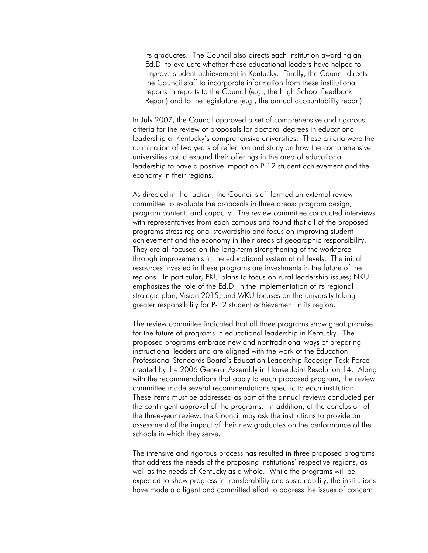its graduates. The Council also directs each institution awarding an Ed.D. to evaluate whether these educational leaders have helped to improve student achievement in Kentucky. Finally, the Council directs the Council staff to incorporate information from these institutional reports in reports to the Council (e.g., the High School Feedback Report) and to the legislature (e.g., the annual accountability report).

In July 2007, the Council approved a set of comprehensive and rigorous criteria for the review of proposals for doctoral degrees in educational leadership at Kentucky's comprehensive universities. These criteria were the culmination of two years of reflection and study on how the comprehensive universities could expand their offerings in the area of educational leadership to have a positive impact on P-12 student achievement and the economy in their regions.

As directed in that action, the Council staff formed an external review committee to evaluate the proposals in three areas: program design, program content, and capacity. The review committee conducted interviews with representatives from each campus and found that all of the proposed programs stress regional stewardship and focus on improving student achievement and the economy in their areas of geographic responsibility. They are all focused on the long-term strengthening of the workforce through improvements in the educational system at all levels. The initial resources invested in these programs are investments in the future of the regions. In particular, EKU plans to focus on rural leadership issues; NKU emphasizes the role of the Ed.D. in the implementation of its regional strategic plan, Vision 2015; and WKU focuses on the university taking greater responsibility for P-12 student achievement in its region.

The review committee indicated that all three programs show great promise for the future of programs in educational leadership in Kentucky. The proposed programs embrace new and nontraditional ways of preparing instructional leaders and are aligned with the work of the Education Professional Standards Board's Education Leadership Redesign Task Force created by the 2006 General Assembly in House Joint Resolution 14. Along with the recommendations that apply to each proposed program, the review committee made several recommendations specific to each institution. These items must be addressed as part of the annual reviews conducted per the contingent approval of the programs. In addition, at the conclusion of the three-year review, the Council may ask the institutions to provide an assessment of the impact of their new graduates on the performance of the schools in which they serve.

The intensive and rigorous process has resulted in three proposed programs that address the needs of the proposing institutions' respective regions, as well as the needs of Kentucky as a whole. While the programs will be expected to show progress in transferability and sustainability, the institutions have made a diligent and committed effort to address the issues of concern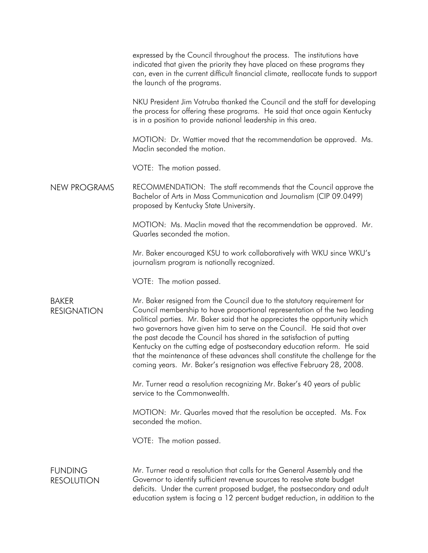expressed by the Council throughout the process. The institutions have indicated that given the priority they have placed on these programs they can, even in the current difficult financial climate, reallocate funds to support the launch of the programs. NKU President Jim Votruba thanked the Council and the staff for developing the process for offering these programs. He said that once again Kentucky is in a position to provide national leadership in this area. MOTION: Dr. Wattier moved that the recommendation be approved. Ms. Maclin seconded the motion. VOTE: The motion passed. NEW PROGRAMS RECOMMENDATION: The staff recommends that the Council approve the Bachelor of Arts in Mass Communication and Journalism (CIP 09.0499) proposed by Kentucky State University. MOTION: Ms. Maclin moved that the recommendation be approved. Mr. Quarles seconded the motion. Mr. Baker encouraged KSU to work collaboratively with WKU since WKU's journalism program is nationally recognized. VOTE: The motion passed. BAKER RESIGNATION Mr. Baker resigned from the Council due to the statutory requirement for Council membership to have proportional representation of the two leading political parties. Mr. Baker said that he appreciates the opportunity which two governors have given him to serve on the Council. He said that over the past decade the Council has shared in the satisfaction of putting Kentucky on the cutting edge of postsecondary education reform. He said that the maintenance of these advances shall constitute the challenge for the coming years. Mr. Baker's resignation was effective February 28, 2008. Mr. Turner read a resolution recognizing Mr. Baker's 40 years of public service to the Commonwealth. MOTION: Mr. Quarles moved that the resolution be accepted. Ms. Fox seconded the motion. VOTE: The motion passed. **FUNDING** RESOLUTION Mr. Turner read a resolution that calls for the General Assembly and the Governor to identify sufficient revenue sources to resolve state budget deficits. Under the current proposed budget, the postsecondary and adult education system is facing a 12 percent budget reduction, in addition to the